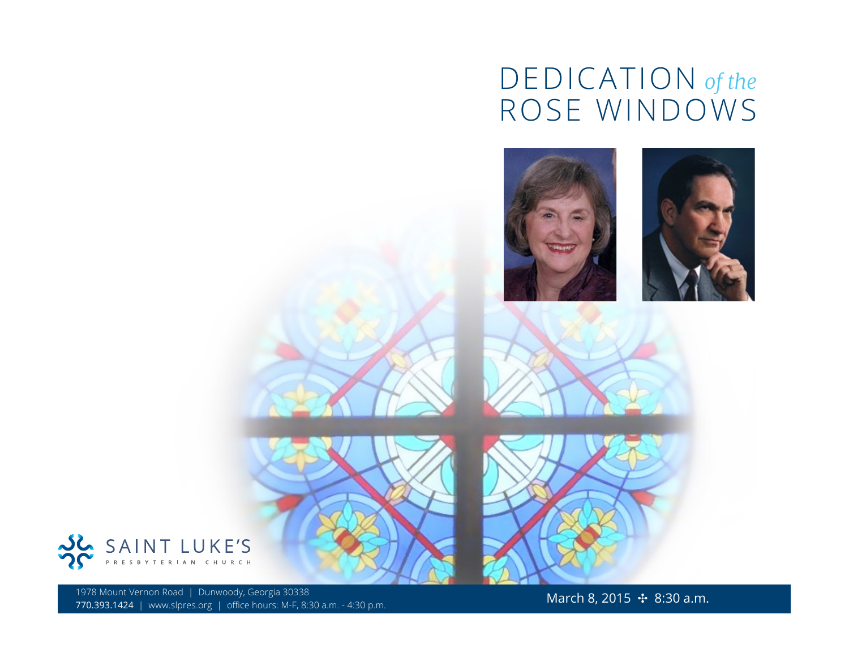## DEDICATION *of the* ROSE WINDOWS









1978 Mount Vernon Road | Dunwoody, Georgia 30338<br>770.393.1424 | www.slpres.org | office hours: M-F, 8:30 a.m. - 4:30 p.m.